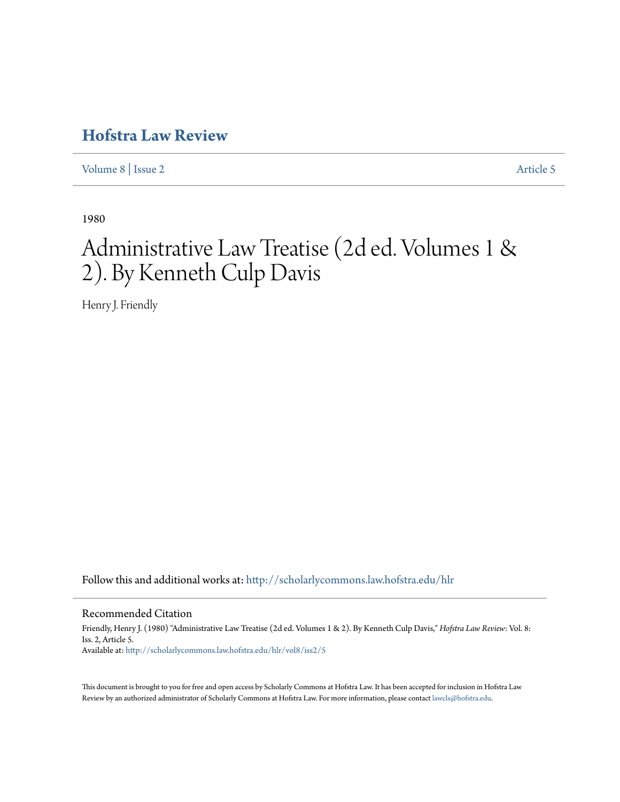# **[Hofstra Law Review](http://scholarlycommons.law.hofstra.edu/hlr?utm_source=scholarlycommons.law.hofstra.edu%2Fhlr%2Fvol8%2Fiss2%2F5&utm_medium=PDF&utm_campaign=PDFCoverPages)**

[Volume 8](http://scholarlycommons.law.hofstra.edu/hlr/vol8?utm_source=scholarlycommons.law.hofstra.edu%2Fhlr%2Fvol8%2Fiss2%2F5&utm_medium=PDF&utm_campaign=PDFCoverPages) | [Issue 2](http://scholarlycommons.law.hofstra.edu/hlr/vol8/iss2?utm_source=scholarlycommons.law.hofstra.edu%2Fhlr%2Fvol8%2Fiss2%2F5&utm_medium=PDF&utm_campaign=PDFCoverPages) [Article 5](http://scholarlycommons.law.hofstra.edu/hlr/vol8/iss2/5?utm_source=scholarlycommons.law.hofstra.edu%2Fhlr%2Fvol8%2Fiss2%2F5&utm_medium=PDF&utm_campaign=PDFCoverPages)

1980

# Administrative Law Treatise (2d ed. Volumes 1 & 2). By Kenneth Culp Davis

Henry J. Friendly

Follow this and additional works at: [http://scholarlycommons.law.hofstra.edu/hlr](http://scholarlycommons.law.hofstra.edu/hlr?utm_source=scholarlycommons.law.hofstra.edu%2Fhlr%2Fvol8%2Fiss2%2F5&utm_medium=PDF&utm_campaign=PDFCoverPages)

# Recommended Citation

Friendly, Henry J. (1980) "Administrative Law Treatise (2d ed. Volumes 1 & 2). By Kenneth Culp Davis," *Hofstra Law Review*: Vol. 8: Iss. 2, Article 5. Available at: [http://scholarlycommons.law.hofstra.edu/hlr/vol8/iss2/5](http://scholarlycommons.law.hofstra.edu/hlr/vol8/iss2/5?utm_source=scholarlycommons.law.hofstra.edu%2Fhlr%2Fvol8%2Fiss2%2F5&utm_medium=PDF&utm_campaign=PDFCoverPages)

This document is brought to you for free and open access by Scholarly Commons at Hofstra Law. It has been accepted for inclusion in Hofstra Law Review by an authorized administrator of Scholarly Commons at Hofstra Law. For more information, please contact [lawcls@hofstra.edu](mailto:lawcls@hofstra.edu).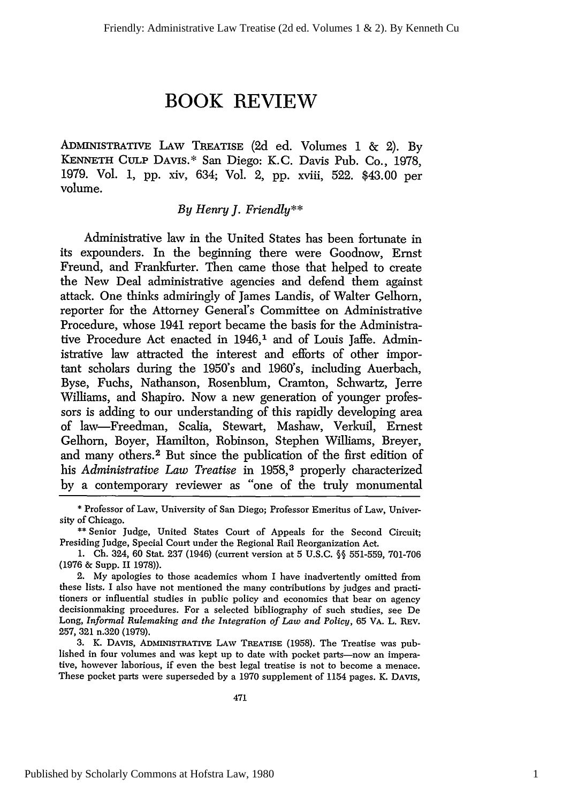# **BOOK REVIEW**

**ADMINISTRATIVE LAW TREATISE (2d** ed. Volumes **1 &** 2). **By KENNETH CULP DAVIS.\*** San Diego: K.C. Davis Pub. Co., **1978, 1979.** Vol. **1, pp.** xiv, 634; Vol. 2, **pp.** xviii, **522.** \$43.00 per volume.

## *By Henry J. Friendly\*\**

Administrative law in the United States has been fortunate in its expounders. In the beginning there were Goodnow, Ernst Freund, and Frankfurter. Then came those that helped to create the **New** Deal administrative agencies and defend them against attack. One thinks admiringly of James Landis, of Walter Gelhorn, reporter for the Attorney General's Committee on Administrative Procedure, whose 1941 report became the basis for the Administrative Procedure Act enacted in 1946,<sup>1</sup> and of Louis Jaffe. Administrative law attracted the interest and efforts of other important scholars during the 1950's and 1960's, including Auerbach, Byse, Fuchs, Nathanson, Rosenblum, Cramton, Schwartz, Jerre Williams, and Shapiro. Now a new generation of younger professors is adding to our understanding of this rapidly developing area of law-Freedman, Scalia, Stewart, Mashaw, Verkuil, Ernest Gelhorn, Boyer, Hamilton, Robinson, Stephen Williams, Breyer, and many others.2 But since the publication of the first edition of his *Administrative Law Treatise* in **1958, <sup>3</sup>**properly characterized **by** a contemporary reviewer as "one of the truly monumental

**3. K. DAVIS, ADMINISTRATIVE LAW TREATISE (1958).** The Treatise was published in four volumes and was kept up to date with pocket parts-now an imperative, however laborious, if even the best legal treatise is not to become a menace. These pocket parts were superseded **by** a **1970** supplement of 1154 pages. K. **DAVIS,**

**<sup>\*</sup>** Professor of Law, University of San Diego; Professor Emeritus of Law, University of Chicago.

**<sup>\*\*</sup>** Senior Judge, United States Court of Appeals for the Second Circuit; Presiding Judge, Special Court under the Regional Rail Reorganization Act.

**<sup>1.</sup> Ch.** 324, **60** Stat. **237** (1946) (current version at **5 U.S.C. §§ 551-559, 701-706 (1976 &** Supp. **II 1978)).**

<sup>2.</sup> **My** apologies to those academics whom I have inadvertently omitted from these lists. I also have not mentioned the many contributions **by** judges and practitioners or influential studies in public policy and economics that bear on agency decisionmaking procedures. For a selected bibliography of such studies, see De Long, *Informal Rulemaking and the Integration of Law and Policy,* **65 VA. L. REV. 257, 321** n.320 **(1979).**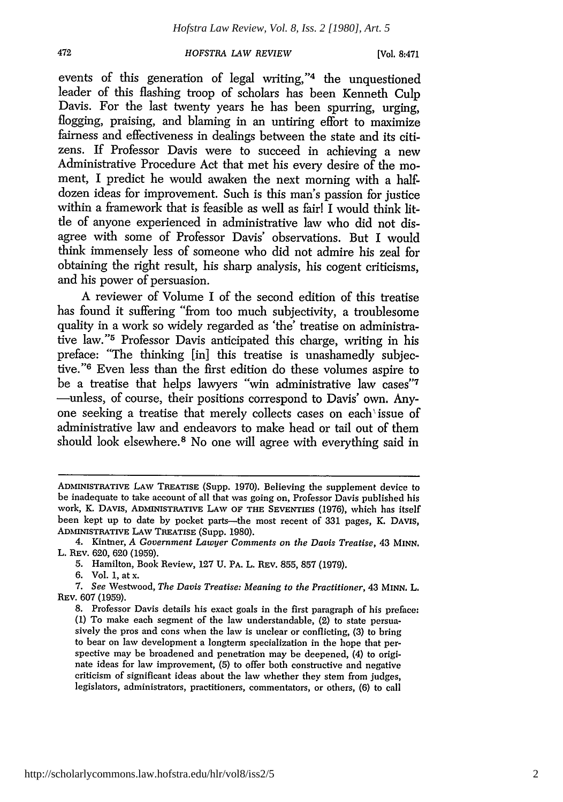[Vol. **8:471**

events of this generation of legal writing,"<sup>4</sup> the unquestioned leader of this flashing troop of scholars has been Kenneth Culp Davis. For the last twenty years he has been spurring, urging, flogging, praising, and blaming in an untiring effort to maximize fairness and effectiveness in dealings between the state and its citizens. If Professor Davis were to succeed in achieving a new Administrative Procedure Act that met his every desire of the moment, I predict he would awaken the next morning with a halfdozen ideas for improvement. Such is this man's passion for justice within a framework that is feasible as well as fair! I would think little of anyone experienced in administrative law who did not disagree with some of Professor Davis' observations. But I would think immensely less of someone who did not admire his zeal for obtaining the right result, his sharp analysis, his cogent criticisms, and his power of persuasion.

A reviewer of Volume I of the second edition of this treatise has found it suffering "from too much subjectivity, a troublesome quality in a work so widely regarded as 'the' treatise on administrative law."<sup>5</sup> Professor Davis anticipated this charge, writing in his preface: "The thinking [in] this treatise is unashamedly subjective."<sup>6</sup> Even less than the first edition do these volumes aspire to be a treatise that helps lawyers "win administrative law cases"7 -unless, of course, their positions correspond to Davis' own. Anyone seeking a treatise that merely collects cases on each'issue of administrative law and endeavors to make head or tail out of them should look elsewhere. 8 No one will agree with everything said in

ADMINISTRATIVE LAW TREATISE (Supp. 1970). Believing the supplement device to be inadequate to take account of all that was going on, Professor Davis published his work, K. DAVIS, ADMINISTRATIVE LAW OF **THE** SEVENTIES (1976), which has itself been kept up to date by pocket parts-the most recent of 331 pages, K. DAVIS, ADMINISTRATIVE LAW TREATISE (Supp. 1980).

<sup>4.</sup> Kintner, *A Government Lawyer Comments on the Davis Treatise,* 43 MINN. L. REv. 620, 620 (1959).

<sup>5.</sup> Hamilton, Book Review, 127 U. PA. L. REV. 855, 857 (1979).

<sup>6.</sup> Vol. 1, at x.

<sup>7.</sup> *See* Westwood, *The Davis Treatise: Meaning to the Practitioner,* 43 MINN. L. REv. 607 (1959).

<sup>8.</sup> Professor Davis details his exact goals in the first paragraph of his preface: (1) To make each segment of the law understandable, (2) to state persuasively the pros and cons when the law is unclear or conflicting, (3) to bring to bear on law development a longterm specialization in the hope that perspective may be broadened and penetration may be deepened, (4) to originate ideas for law improvement, (5) to offer both constructive and negative criticism of significant ideas about the law whether they stem from judges, legislators, administrators, practitioners, commentators, or others, (6) to call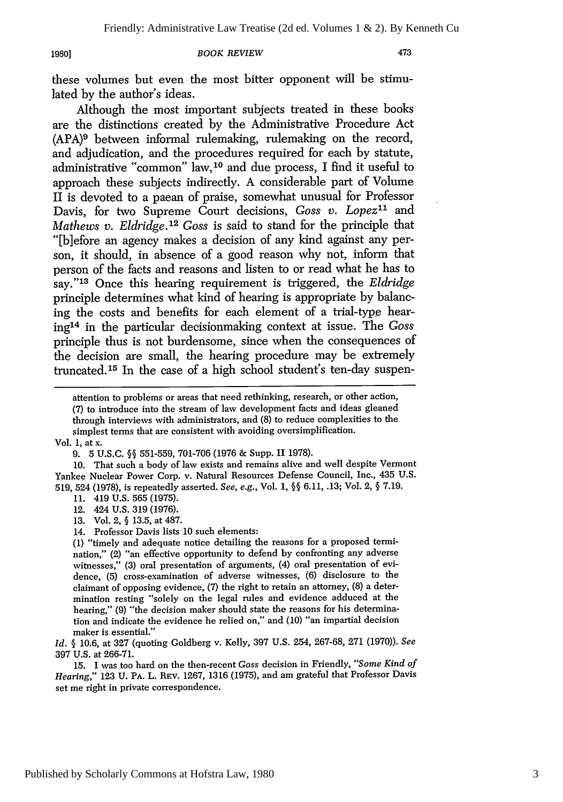#### *BOOK REVIEW*

473

these volumes but even the most bitter opponent will be stimulated by the author's ideas.

Although the most important subjects treated in these books are the distinctions created by the Administrative Procedure Act (APA)9 between informal rulemaking, rulemaking on the record, and adjudication, and the procedures required for each by statute, administrative "common" law, 10 and due process, I find it useful to approach these subjects indirectly. A considerable part of Volume II is devoted to a paean of praise, somewhat unusual for Professor Davis, for two Supreme Court decisions, *Goss v. Lopez*<sup>11</sup> and *Mathews v. Eldridge.12 Goss* is said to stand for the principle that "[biefore an agency makes a decision of any kind against any person, it should, in absence of a good reason why not, inform that person of the facts and reasons and listen to or read what he has to say."'13 Once this hearing requirement is triggered, the *Eldridge* principle determines what kind of hearing is appropriate by balancing the costs and benefits for each element of a trial-type hearing' 4 in the particular decisionmaking context at issue. The *Goss* principle thus is not burdensome, since when the consequences of the decision are small, the hearing procedure may be extremely truncated.<sup>15</sup> In the case of a high school student's ten-day suspen-

10. That such a body of law exists and remains alive and well despite Vermont Yankee Nuclear Power Corp. v. Natural Resources Defense Council, Inc., 435 U.S. 519, 524 (1978), is repeatedly asserted. *See, e.g.,* Vol. 1, **§§** 6.11, .13; Vol. 2, **§** 7.19.

- 11. 419 U.S. 565 (1975).
- 12. 424 U.S. 319 (1976).
- 13. Vol. 2, § 13.5, at 487.
- 14. Professor Davis lists 10 such elements:

(1) "timely and adequate notice detailing the reasons for a proposed termination," (2) "an effective opportunity to defend by confronting any adverse witnesses," (3) oral presentation of arguments, (4) oral presentation of evidence, (5) cross-examination of adverse witnesses, (6) disclosure to the claimant of opposing evidence, (7) the right to retain an attorney, (8) a determination resting "solely on the legal rules and evidence adduced at the hearing," (9) "the decision maker should state the reasons for his determination and indicate the evidence he relied on," and (10) "an impartial decision maker is essential."

*Id. §* 10.6, at 327 (quoting Goldberg v. Kelly, 397 U.S. 254, 267-68, 271 (1970)). *See* 397 U.S. at 266-71.

15. I was too hard on the then-recent *Goss* decision in Friendly, *"Some Kind of Hearing,"* 123 U. PA. L. REv. 1267, 1316 (1975), and am grateful that Professor Davis set me right in private correspondence.

attention to problems or areas that need rethinking, research, or other action, (7) to introduce into the stream of law development facts and ideas gleaned through interviews with administrators, and (8) to reduce complexities to the simplest terms that are consistent with avoiding oversimplification. Vol. **1,** at x.

<sup>9. 5</sup> U.S.C. **§§** 551-559, 701-706 (1976 & Supp. II 1978).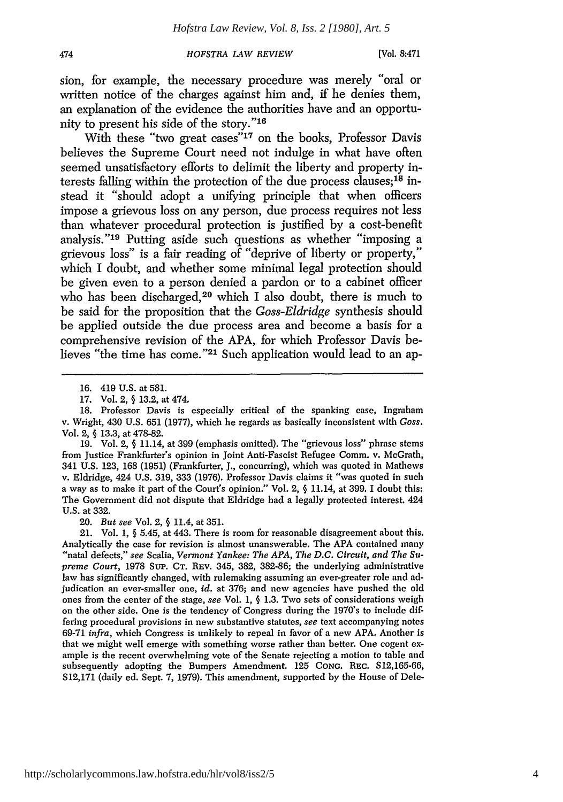(Vol, **8:471**

sion, for example, the necessary procedure was merely "oral or written notice of the charges against him and, if he denies them, an explanation of the evidence the authorities have and an opportunity to present his side of the story."'<sup>16</sup>

With these "two great cases"<sup>17</sup> on the books, Professor Davis believes the Supreme Court need not indulge in what have often seemed unsatisfactory efforts to delimit the liberty and property interests falling within the protection of the due process clauses; 18 instead it "should adopt a unifying principle that when officers impose a grievous loss on any person, due process requires not less than whatever procedural protection is justified by a cost-benefit analysis."<sup>19</sup> Putting aside such questions as whether "imposing a grievous loss" is a fair reading of "deprive of liberty or property," which I doubt, and whether some minimal legal protection should be given even to a person denied a pardon or to a cabinet officer who has been discharged,<sup>20</sup> which I also doubt, there is much to be said for the proposition that the *Goss-Eldridge* synthesis should be applied outside the due process area and become a basis for a comprehensive revision of the APA, for which Professor Davis believes "the time has come."<sup>21</sup> Such application would lead to an ap-

474

20. *But see* Vol. 2, § 11.4, at 351.

21. Vol. 1, § 5.45, at 443. There is room for reasonable disagreement about this. Analytically the case for revision is almost unanswerable. The APA contained many "natal defects," *see* Scalia, *Vermont Yankee: The APA, The D.C. Circuit, and The Supreme Court,* 1978 Sup. CT. REV. 345, 382, 382-86; the underlying administrative law has significantly changed, with rulemaking assuming an ever-greater role and adjudication an ever-smaller one, *id.* at 376; and new agencies have pushed the old ones from the center of the stage, *see* Vol. 1, § 1.3. Two sets of considerations weigh on the other side. One is the tendency of Congress during the 1970's to include differing procedural provisions in new substantive statutes, *see* text accompanying notes 69-71 *infra,* which Congress is unlikely to repeal in favor of a new APA, Another is that we might well emerge with something worse rather than better. One cogent example is the recent overwhelming vote of the Senate rejecting a motion to table and subsequently adopting the Bumpers Amendment. 125 CONG. REC. S12,165-66, S12,171 (daily ed. Sept. 7, 1979). This amendment, supported by the House of Dele-

<sup>16. 419</sup> U.S. at 581.

<sup>17.</sup> Vol. 2, § 13.2, at 474.

<sup>18.</sup> Professor Davis is especially critical of the spanking case, Ingraham v. Wright, 430 U.S. 651 (1977), which he regards as basically inconsistent with *Goss.* Vol. 2, **§** 13.3, at 478-82.

<sup>19.</sup> Vol. 2, **§** 11.14, at 399 (emphasis omitted). The "grievous loss" phrase stems from Justice Frankfurter's opinion in Joint Anti-Fascist Refugee Comm. v. McGrath, 341 U.S. 123, 168 (1951) (Frankfurter, J., concurring), which was quoted in Mathews v. Eldridge, 424 U.S. 319, 333 (1976). Professor Davis claims it "was quoted in such a way as to make it part of the Court's opinion." Vol. 2, § 11.14, at 399. I doubt this: The Government did not dispute that Eldridge had a legally protected interest. 424 U.S. at 332.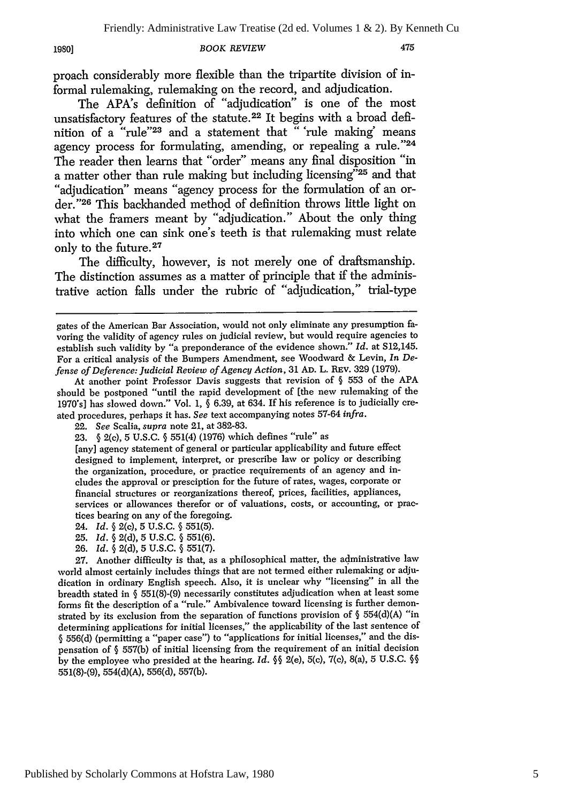#### *BOOK REVIEW*

475

proach considerably more flexible than the tripartite division of informal rulemaking, rulemaking on the record, and adjudication.

The APA's definition of "adjudication" is one of the most unsatisfactory features of the statute.22 It begins with a broad definition of a "rule"<sup>23</sup> and a statement that " 'rule making' means agency process for formulating, amending, or repealing a rule."24 The reader then learns that "order" means any final disposition "in a matter other than rule making but including licensing<sup>725</sup> and that "adjudication" means "agency process for the formulation of an order."26 This backhanded method of definition throws little light on what the framers meant by "adjudication." About the only thing into which one can sink one's teeth is that rulemaking must relate only to the future. <sup>27</sup>

The difficulty, however, is not merely one of draftsmanship. The distinction assumes as a matter of principle that if the administrative action falls under the rubric of "adjudication," trial-type

[any] agency statement of general or particular applicability and future effect designed to implement, interpret, or prescribe law or policy or describing the organization, procedure, or practice requirements of an agency and includes the approval or presciption for the future of rates, wages, corporate or financial structures or reorganizations thereof, prices, facilities, appliances, services or allowances therefor or of valuations, costs, or accounting, or practices bearing on any of the foregoing.

- 24. *Id.* **§** 2(c), **5 U.S.C. § 551(5).**
- 25. *Id.* **§** 2(d), 5 U.S.C. § 551(6).
- 26. *Id.* § 2(d), 5 U.S.C. § 551(7).

27. Another difficulty is that, as a philosophical matter, the administrative law world almost certainly includes things that are not termed either rulemaking or adjudication in ordinary English speech. Also, it is unclear why "licensing" in all the breadth stated in § 551(8)-(9) necessarily constitutes adjudication when at least some forms fit the description of a "rule." Ambivalence toward licensing is further demonstrated by its exclusion from the separation of functions provision of § 554(d)(A) "in determining applications for initial licenses," the applicability of the last sentence of § 556(d) (permitting a "paper case") to "applications for initial licenses," and the dispensation of § 557(b) of initial licensing from the requirement of an initial decision by the employee who presided at the hearing. *Id.* **§§** 2(e), 5(c), 7(c), 8(a), 5 U.S.C. 99 551(8)-(9), 554(d)(A), 556(d), 557(b).

gates of the American Bar Association, would not only eliminate any presumption favoring the validity of agency rules on judicial review, but would require agencies to establish such validity by "a preponderance of the evidence shown." *Id.* at S12,145. For a critical analysis of the Bumpers Amendment, see Woodward & Levin, *In Defense of Deference: Judicial Review of Agency Action,* 31 AD. L. REv. 329 (1979).

At another point Professor Davis suggests that revision of § 553 of the APA should be postponed "until the rapid development of [the new rulemaking of the 1970's] has slowed down." Vol. 1, § 6.39, at 634. If his reference is to judicially created procedures, perhaps it has. *See* text accompanying notes 57-64 *infra.*

<sup>22.</sup> *See* Scalia, *supra* note 21, at 382-83.

<sup>23.</sup> **§** 2(c), 5 U.S.C. **§** 551(4) (1976) which defines "rule" as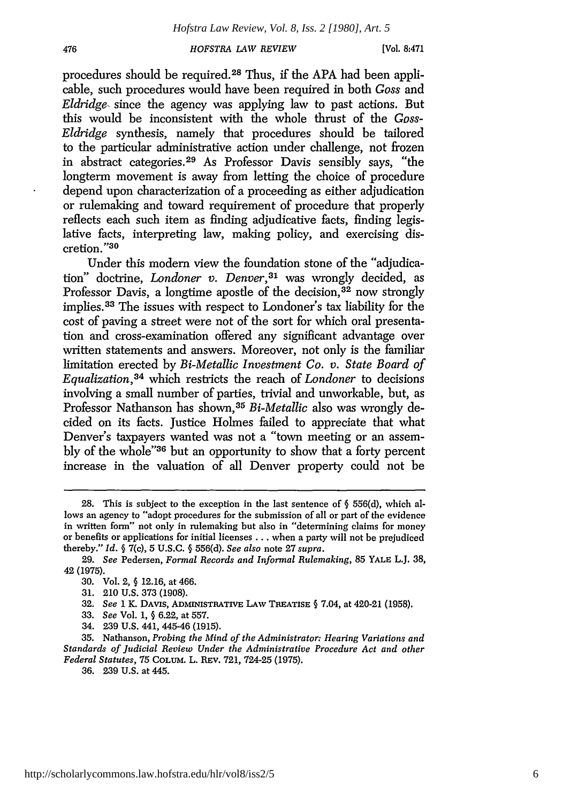**[Vol. 8:471**

procedures should be required. 28 Thus, if the APA had been applicable, such procedures would have been required in both *Goss* and *Eldridge,* since the agency was applying law to past actions. But this would be inconsistent with the whole thrust of the *Goss-Eldridge* synthesis, namely that procedures should be tailored to the particular administrative action under challenge, not frozen in abstract categories. 29 As Professor Davis sensibly says, "the longterm movement is away from letting the choice of procedure depend upon characterization of a proceeding as either adjudication or rulemaking and toward requirement of procedure that properly reflects each such item as finding adjudicative facts, finding legislative facts, interpreting law, making policy, and exercising discretion."3<sup>0</sup>

Under this modern view the foundation stone of the "adjudication" doctrine, *Londoner v. Denver*,<sup>31</sup> was wrongly decided, as Professor Davis, a longtime apostle of the decision,<sup>32</sup> now strongly implies.<sup>33</sup> The issues with respect to Londoner's tax liability for the cost of paving a street were not of the sort for which oral presentation and cross-examination offered any significant advantage over written statements and answers. Moreover, not only is the familiar limitation erected by *Bi-Metallic Investment Co. v. State Board of Equalization,3 <sup>4</sup>*which restricts the reach of *Londoner* to decisions involving a small number of parties, trivial and unworkable, but, as Professor Nathanson has shown, <sup>35</sup>*Bi-Metallic* also was wrongly decided on its facts. Justice Holmes failed to appreciate that what Denver's taxpayers wanted was not a "town meeting or an assembly of the whole"36 but an opportunity to show that a forty percent increase in the valuation of all Denver property could not be

36. 239 U.S. at 445.

**<sup>28.</sup>** This is subject to the exception in the last sentence of **§** 556(d), which allows an agency to "adopt procedures for the submission of all or part of the evidence in written form" not only in rulemaking but also in "determining claims for money or benefits or applications for initial licenses **...** when a party will not be prejudiced thereby." *Id.* **§ 7(c), 5** U.S.C. **§** 556(d). *See also* note 27 *supra.*

<sup>29.</sup> *See* Pedersen, *Formal Records and Informal Rulemaking,* 85 YALE L.J. **38, 42** (1975).

**<sup>30.</sup>** Vol. 2, § 12.16, at 466.

<sup>31. 210</sup> U.S. 373 (1908).

**<sup>32.</sup>** *See* 1 K. DAvIS, ADMINISTRATIVE LAW TREATISE **§** 7.04, at 420-21 (1958).

**<sup>33.</sup>** *See* Vol. 1, § **6.22,** at **557.**

<sup>34.</sup> **239 U.S.** 441, 445-46 **(1915).**

<sup>35.</sup> Nathanson, *Probing the Mind of the Administrator: Hearing Variations and Standards of Judicial Review Under the Administrative Procedure Act and other Federal Statutes,* **75** COLuM. L. **REv. 721,** 724-25 **(1975).**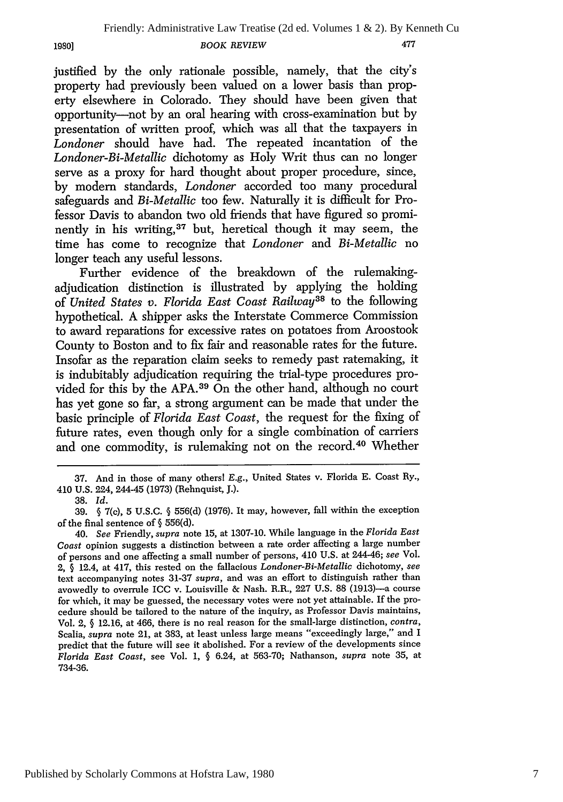justified by the only rationale possible, namely, that the city's property had previously been valued on a lower basis than property elsewhere in Colorado. They should have been given that opportunity-not by an oral hearing with cross-examination but by presentation of written proof, which was all that the taxpayers in *Londoner* should have had. The repeated incantation of the *Londoner-Bi-Metallic* dichotomy as Holy Writ thus can no longer serve as a proxy for hard thought about proper procedure, since, by modem standards, *Londoner* accorded too many procedural safeguards and *Bi-Metallic* too few. Naturally it is difficult for Professor Davis to abandon two old friends that have figured so prominently in his writing,<sup>37</sup> but, heretical though it may seem, the time has come to recognize that *Londoner and Bi-Metallic* no longer teach any useful lessons.

Further evidence of the breakdown of the rulemakingadjudication distinction is illustrated by applying the holding of *United States v. Florida East Coast Railway3s* to the following hypothetical. A shipper asks the Interstate Commerce Commission to award reparations for excessive rates on potatoes from Aroostook County to Boston and to fix fair and reasonable rates for the future. Insofar as the reparation claim seeks to remedy past ratemaking, it is indubitably adjudication requiring the trial-type procedures provided for this by the APA. 39 On the other hand, although no court has yet gone so far, a strong argument can be made that under the basic principle of *Florida East Coast,* the request for the fixing of future rates, even though only for a single combination of carriers and one commodity, is rulemaking not on the record.40 Whether

**1980]**

<sup>37.</sup> And in those of many others! E.g., United States v. Florida E. Coast Ry., 410 U.S. 224, 244-45 (1973) (Rehnquist, J.).

<sup>38.</sup> *Id.*

<sup>39.</sup> **§** 7(c), 5 U.S.C. **§** 556(d) (1976). It may, however, fall within the exception of the final sentence of **§** 556(d).

<sup>40.</sup> *See* Friendly, supra note 15, at 1307-10. While language in the *Florida East Coast* opinion suggests a distinction between a rate order affecting a large number of persons and one affecting a small number of persons, 410 U.S. at 244-46; *see* Vol. 2, § 12.4, at 417, this rested on the fallacious *Londoner-Bi-Metallic* dichotomy, *see* text accompanying notes 31-37 *supra,* and was an effort to distinguish rather than avowedly to overrule ICC v. Louisville & Nash. R.R., 227 U.S. 88 (1913)-a course for which, it may be guessed, the necessary votes were not yet attainable. If the procedure should be tailored to the nature of the inquiry, as Professor Davis maintains, Vol. 2, § 12.16, at 466, there is no real reason for the small-large distinction, *contra,* Scalia, *supra* note 21, at 383, at least unless large means "exceedingly large," and I predict that the future will see it abolished. For a review of the developments since *Florida East Coast,* see Vol. 1, § 6.24, at 563-70; Nathanson, *supra* note 35, at 734-36.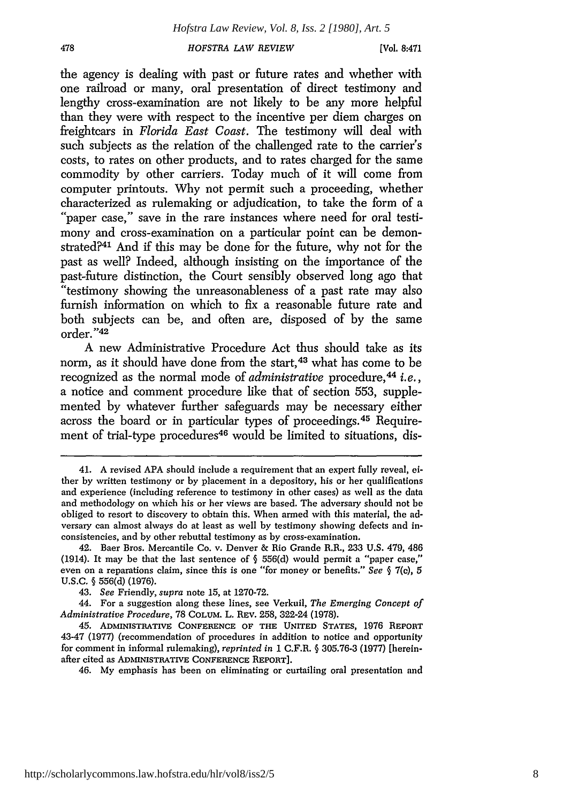[Vol. **8:471**

the agency is dealing with past or future rates and whether with one railroad or many, oral presentation of direct testimony and lengthy cross-examination are not likely to be any more helpful than they were with respect to the incentive per diem charges on freightcars in *Florida East Coast.* The testimony will deal with such subjects as the relation of the challenged rate to the carrier's costs, to rates on other products, and to rates charged for the same commodity by other carriers. Today much of it will come from computer printouts. Why not permit such a proceeding, whether characterized as rulemaking or adjudication, to take the form of a "'paper case," save in the rare instances where need for oral testimony and cross-examination on a particular point can be demonstrated?41 And if this may be done for the future, why not for the past as well? Indeed, although insisting on the importance of the past-future distinction, the Court sensibly observed long ago that "testimony showing the unreasonableness of a past rate may also furnish information on which to fix a reasonable future rate and both subjects can be, and often are, disposed of by the same order. **"42**

A new Administrative Procedure Act thus should take as its norm, as it should have done from the start,<sup>43</sup> what has come to be recognized as the normal mode of *administrative* procedure,<sup>44</sup> *i.e.*, a notice and comment procedure like that of section 553, supplemented by whatever further safeguards may be necessary either across the board or in particular types of proceedings.45 Requirement of trial-type procedures<sup>46</sup> would be limited to situations, dis-

<sup>41.</sup> A revised APA should include a requirement that an expert fully reveal, either by written testimony or by placement in a depository, his or her qualifications and experience (including reference to testimony in other cases) as well as the data and methodology on which his or her views are based. The adversary should not be obliged to resort to discovery to obtain this. When armed with this material, the adversary can almost always do at least as well by testimony showing defects and inconsistencies, and by other rebuttal testimony as by cross-examination.

<sup>42.</sup> Baer Bros. Mercantile Co. v. Denver & Rio Grande R.R., 233 U.S. 479, 486 (1914). It may be that the last sentence of  $\S$  556(d) would permit a "paper case," even on a reparations claim, since this is one "for money or benefits." *See §* 7(c), 5 U.S.C. § 556(d) (1976).

<sup>43.</sup> *See* Friendly, *supra* note 15, at 1270-72.

<sup>44.</sup> For a suggestion along these lines, see Verkuil, *The Emerging Concept of Administrative Procedure,* 78 COLUM. L. REV. **258,** 322-24 **(1978).**

<sup>45.</sup> ADMINISTRATIVE **CONFERENCE OF THE UNITED STATES,** 1976 **REPORT** 43-47 (1977) (recommendation of procedures in addition to notice and opportunity for comment in informal rulemaking), *reprinted in* 1 C.F.R. § 305.76-3 (1977) [hereinafter cited as **ADMINISTRATIVE** CONFERENCE **REPORT].**

<sup>46.</sup> My emphasis has been on eliminating or curtailing oral presentation and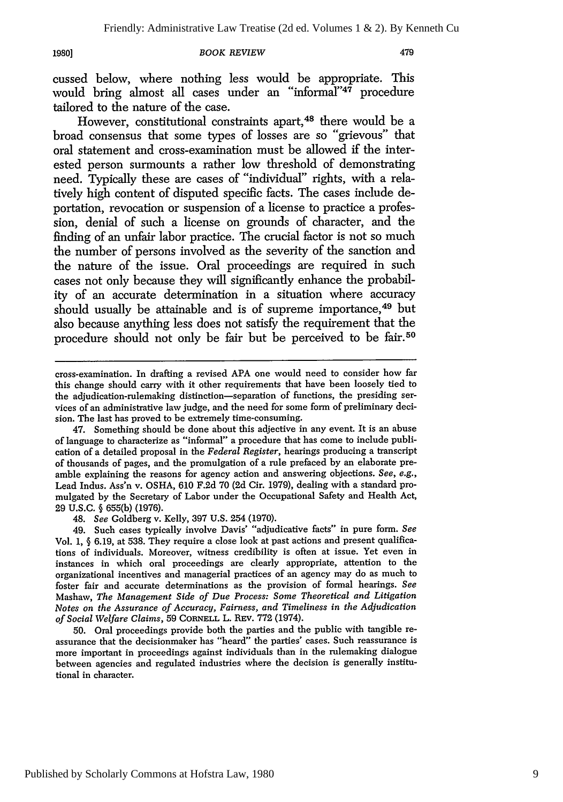#### *BOOK REVIEW*

479

cussed below, where nothing less would be appropriate. This would bring almost all cases under an "informal"<sup>47</sup> procedure tailored to the nature of the case.

However, constitutional constraints apart,<sup>48</sup> there would be a broad consensus that some types of losses are so "grievous" that oral statement and cross-examination must be allowed if the interested person surmounts a rather low threshold of demonstrating need. Typically these are cases of "individual" rights, with a relatively high content of disputed specific facts. The cases include deportation, revocation or suspension of a license to practice a profession, denial of such a license on grounds of character, and the finding of an unfair labor practice. The crucial factor is not so much the number of persons involved as the severity of the sanction and the nature of the issue. Oral proceedings are required in such cases not only because they will significantly enhance the probability of an accurate determination in a situation where accuracy should usually be attainable and is of supreme importance,<sup>49</sup> but also because anything less does not satisfy the requirement that the procedure should not only be fair but be perceived to be fair.<sup>50</sup>

cross-examination. In drafting a revised APA one would need to consider how far this change should carry with it other requirements that have been loosely tied to the adjudication-rulemaking distinction-separation of functions, the presiding services of an administrative law judge, and the need for some form of preliminary decision. The last has proved to be extremely time-consuming.

47. Something should be done about this adjective in any event. It is an abuse of language to characterize as "informal" a procedure that has come to include publication of a detailed proposal in the *Federal Register,* hearings producing a transcript of thousands of pages, and the promulgation of a rule prefaced by an elaborate preamble explaining the reasons for agency action and answering objections. *See, e.g.,* Lead Indus. Ass'n v. OSHA, 610 F.2d 70 (2d Cir. 1979), dealing with a standard promulgated by the Secretary of Labor under the Occupational Safety and Health Act, **29** U.S.C. **§** 655(b) (1976).

48. *See* Goldberg v. Kelly, 397 U.S. 254 (1970).

49. Such cases typically involve Davis' "adjudicative facts" in pure form. *See* Vol. 1, § 6.19, at 538. They require a close look at past actions and present qualifications of individuals. Moreover, witness credibility is often at issue. Yet even in instances in which oral proceedings are clearly appropriate, attention to the organizational incentives and managerial practices of an agency may do as much to foster fair and accurate determinations as the provision of formal hearings. *See* Mashaw, *The Management Side of Due Process: Some Theoretical and Litigation Notes on the Assurance of Accuracy, Fairness, and Timeliness in the Adjudication of Social Welfare Claims,* 59 CORNELL L. REV. **772** (1974).

50. Oral proceedings provide both the parties and the public with tangible reassurance that the decisionmaker has "heard" the parties' cases. Such reassurance is more important in proceedings against individuals than in the rulemaking dialogue between agencies and regulated industries where the decision is generally institutional in character.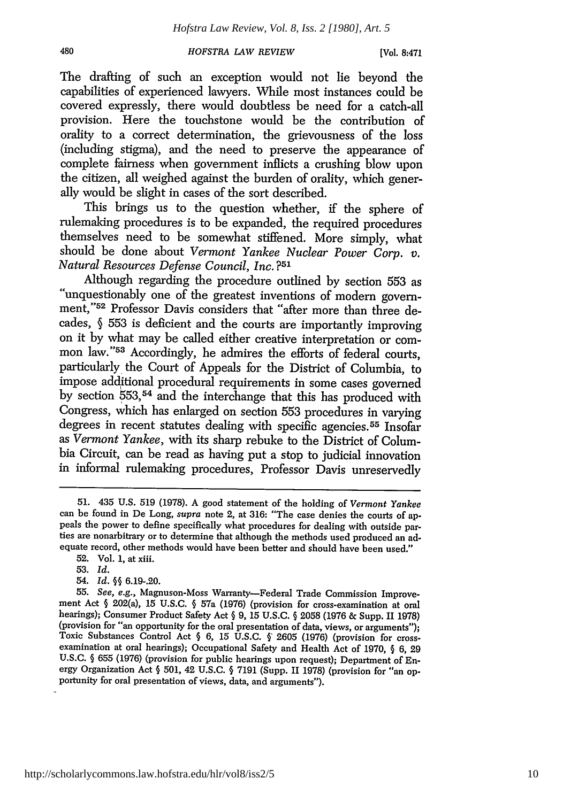[Vol. **8:471**

The drafting of such an exception would not lie beyond the capabilities of experienced lawyers. While most instances could be covered expressly, there would doubtless be need for a catch-all provision. Here the touchstone would be the contribution of orality to a correct determination, the grievousness of the loss (including stigma), and the need to preserve the appearance of complete fairness when government inflicts a crushing blow upon the citizen, all weighed against the burden of orality, which generally would be slight in cases of the sort described.

This brings us to the question whether, if the sphere of rulemaking procedures is to be expanded, the required procedures themselves need to be somewhat stiffened. More simply, what should be done about *Vermont Yankee Nuclear Power Corp. v. Natural Resources Defense Council, Inc.* **?51**

Although regarding the procedure outlined by section 553 as "unquestionably one of the greatest inventions of modern government,"52 Professor Davis considers that "after more than three decades, **§** 553 is deficient and the courts are importantly improving on it by what may be called either creative interpretation or common law."<sup>53</sup> Accordingly, he admires the efforts of federal courts, particularly the Court of Appeals for the District of Columbia, to impose additional procedural requirements in some cases governed by section 553,54 and the interchange that this has produced with Congress, which has enlarged on section 553 procedures in varying degrees in recent statutes dealing with specific agencies. 55 Insofar as *Vermont Yankee,* with its sharp rebuke to the District of Columbia Circuit, can be read as having put a stop to judicial innovation in informal rulemaking procedures, Professor Davis unreservedly

54. *Id.* **§§** 6.19-.20.

<sup>51. 435</sup> U.S. 519 (1978). A good statement of the holding of *Vermont Yankee* can be found in De Long, *supra* note 2, at 316: "The case denies the courts of ap-<br>peals the power to define specifically what procedures for dealing with outside parties are nonarbitrary or to determine that although the methods used produced an adequate record, other methods would have been better and should have been used."

<sup>52.</sup> Vol. 1, at xiii.

<sup>53.</sup> *Id.*

<sup>55.</sup> *See, e.g.,* Magnuson-Moss Warranty-Federal Trade Commission Improvement Act § 202(a), 15 U.S.C. § 57a (1976) (provision for cross-examination at oral hearings); Consumer Product Safety Act § 9, 15 U.S.C. § 2058 (1976 & Supp. II 1978) (provision for "an opportunity for the oral presentation of data, views, or arguments");<br>Toxic Substances Control Act § 6, 15 U.S.C. § 2605 (1976) (provision for cross-<br>examination at oral hearings); Occupational Safety a U.S.C. § 655 (1976) (provision for public hearings upon request); Department of Energy Organization Act § 501, 42 U.S.C. § 7191 (Supp. II 1978) (provision for "an opportunity for oral presentation of views, data, and arguments").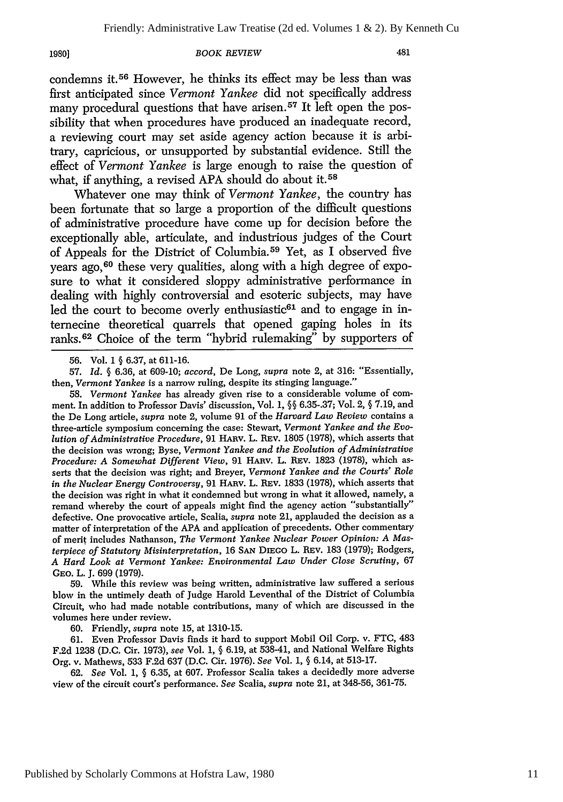#### *BOOK REVIEW*

condemns it.56 However, he thinks its effect may be less than was first anticipated since *Vermont Yankee* did not specifically address many procedural questions that have arisen.<sup>57</sup> It left open the possibility that when procedures have produced an inadequate record, a reviewing court may set aside agency action because it is arbitrary, capricious, or unsupported by substantial evidence. Still the effect of *Vermont Yankee* is large enough to raise the question of what, if anything, a revised **APA** should do about it.58

Whatever one may think of *Vermont Yankee,* the country has been fortunate that so large a proportion of the difficult questions of administrative procedure have come up for decision before the exceptionally able, articulate, and industrious judges of the Court of Appeals for the District of Columbia. 59 Yet, as I observed five years ago, 60 these very qualities, along with a high degree of exposure to what it considered sloppy administrative performance in dealing with highly controversial and esoteric subjects, may have led the court to become overly enthusiastic<sup>61</sup> and to engage in internecine theoretical quarrels that opened gaping holes in its ranks. 62 Choice of the term "hybrid rulemaking" by supporters of

57. *Id.* **§** 6.36, at 609-10; *accord,* De Long, *supra* note 2, at 316: "Essentially, then, *Vermont Yankee* is a narrow ruling, despite its stinging language."

58. *Vermont Yankee* has already given rise to a considerable volume of comment. In addition to Professor Davis' discussion, Vol. 1, **§§** 6.35-.37; Vol. 2, § 7.19, and the De Long article, *supra* note 2, volume 91 of the *Harvard Law Review* contains a three-article symposium concerning the case: Stewart, *Vermont Yankee and the Evolution of Administrative Procedure,* 91 HARv. L. REv. 1805 (1978), which asserts that the decision was wrong; Byse, *Vermont Yankee and the Evolution of Administrative Procedure: A Somewhat Different View, 91 HARV. L. REV. 1823 (1978), which as*serts that the decision was right; and Breyer, *Vermont Yankee and the Courts' Role in the Nuclear Energy Controversy,* 91 HARv. L. REv. 1833 (1978), which asserts that the decision was right in what it condemned but wrong in what it allowed, namely, a remand whereby the court of appeals might find the agency action "substantially" defective. One provocative article, Scalia, *supra* note 21, applauded the decision as a matter of interpretation of the **APA** and application of precedents. Other commentary of merit includes Nathanson, *The Vermont Yankee Nuclear Power Opinion: A Masterpiece of Statutory Misinterpretation,* 16 **SAN DIEGo** L. REv. 183 (1979); Rodgers, *A Hard Look at Vermont Yankee: Environmental Law Under Close Scrutiny,* 67 GEO. L. J. 699 (1979).

59. While this review was being written, administrative law suffered a serious blow in the untimely death of Judge Harold Leventhal of the District of Columbia Circuit, who had made notable contributions, many of which are discussed in the volumes here under review.

60. Friendly, *supra* note 15, at 1310-15.

61. Even Professor Davis finds it hard to support Mobil Oil Corp. v. FTC, 483 F.2d 1238 (D.C. Cir. 1973), *see* Vol. 1, § 6.19, at 538-41, and National Welfare Rights Org. v. Mathews, 533 F.2d 637 (D.C. Cir. 1976). *See* Vol. 1, § 6.14, at 513-17.

62. *See* Vol. 1, § 6.35, at 607. Professor Scalia takes a decidedly more adverse view of the circuit court's performance. *See* Scalia, *supra* note 21, at 348-56, 361-75.

<sup>56.</sup> Vol. 1 § 6.37, at 611-16.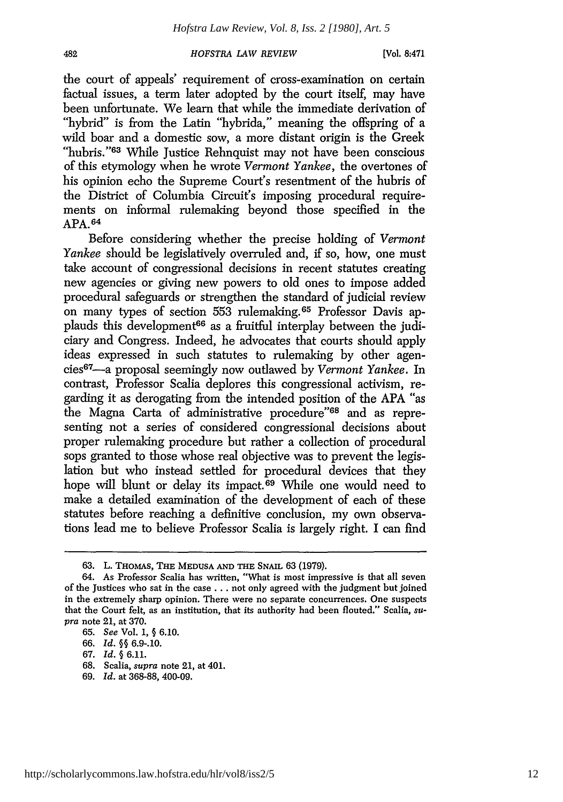[Vol. 8:471

the court of appeals' requirement of cross-examination on certain factual issues, a term later adopted by the court itself, may have been unfortunate. We learn that while the immediate derivation of "hybrid" is from the Latin "hybrida," meaning the offspring of a wild boar and a domestic sow, a more distant origin is the Greek "hubris."<sup>63</sup> While Justice Rehnquist may not have been conscious of this etymology when he wrote *Vermont Yankee,* the overtones of his opinion echo the Supreme Court's resentment of the hubris of the District of Columbia Circuit's imposing procedural requirements on informal rulemaking beyond those specified in the APA. <sup>64</sup>

Before considering whether the precise holding of *Vermont Yankee* should be legislatively overruled and, if so, how, one must take account of congressional decisions in recent statutes creating new agencies or giving new powers to old ones to impose added procedural safeguards or strengthen the standard of judicial review on many types of section 553 rulemaking. 65 Professor Davis applauds this development<sup>66</sup> as a fruitful interplay between the judiciary and Congress. Indeed, he advocates that courts should apply ideas expressed in such statutes to rulemaking by other agencies 67-a proposal seemingly now outlawed by *Vermont Yankee.* In contrast, Professor Scalia deplores this congressional activism, regarding it as derogating from the intended position of the APA "as the Magna Carta of administrative procedure"68 and as representing not a series of considered congressional decisions about proper rulemaking procedure but rather a collection of procedural sops granted to those whose real objective was to prevent the legislation but who instead settled for procedural devices that they hope will blunt or delay its impact.<sup>69</sup> While one would need to make a detailed examination of the development of each of these statutes before reaching a definitive conclusion, my own observations lead me to believe Professor Scalia is largely right. I can find

- 68. Scalia, *supra* note 21, at 401.
- 69. *Id.* at 368-88, 400-09.

**<sup>63.</sup>** L. THoMAs, THE **MEDUSA AND THE** SNAIL 63 (1979).

<sup>64.</sup> As Professor Scalia has written, "What is most impressive is that all seven of the Justices who sat in the case. **. .** not only agreed with the judgment but joined in the extremely sharp opinion. There were no separate concurrences. One suspects that the Court felt, as an institution, that its authority had been flouted." Scalia, *su*pra note 21, at 370.

<sup>65.</sup> *See* Vol. **1,** § 6.10.

**<sup>66.</sup>** *Id. §§* **6.9-.10.**

<sup>67.</sup> *Id.* § 6.11.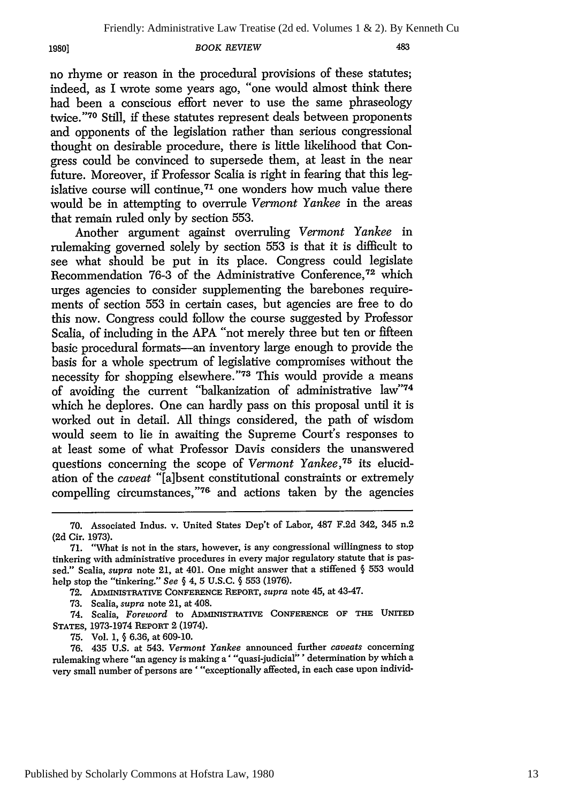**19801**

#### *BOOK REVIEW*

no rhyme or reason in the procedural provisions of these statutes; indeed, as I wrote some years ago, "one would almost think there had been a conscious effort never to use the same phraseology twice."<sup>70</sup> Still, if these statutes represent deals between proponents and opponents of the legislation rather than serious congressional thought on desirable procedure, there is little likelihood that Congress could be convinced to supersede them, at least in the near future. Moreover, if Professor Scalia is right in fearing that this legislative course will continue, 71 one wonders how much value there would be in attempting to overrule *Vermont Yankee* in the areas that remain ruled only by section 553.

Another argument against overruling *Vermont Yankee* in rulemaking governed solely by section 553 is that it is difficult to see what should be put in its place. Congress could legislate Recommendation 76-3 of the Administrative Conference, 72 which urges agencies to consider supplementing the barebones requirements of section 553 in certain cases, but agencies are free to do this now. Congress could follow the course suggested by Professor Scalia, of including in the APA "not merely three but ten or fifteen basic procedural formats-an inventory large enough to provide the basis for a whole spectrum of legislative compromises without the necessity for shopping elsewhere."73 This would provide a means of avoiding the current "balkanization of administrative law"74 which he deplores. One can hardly pass on this proposal until it is worked out in detail. All things considered, the path of wisdom would seem to lie in awaiting the Supreme Court's responses to at least some of what Professor Davis considers the unanswered questions concerning the scope of *Vermont Yankee*,<sup>75</sup> its elucidation of the *caveat* "[a]bsent constitutional constraints or extremely compelling circumstances,"76 and actions taken by the agencies

<sup>70.</sup> Associated Indus. v. United States Dep't of Labor, 487 F.2d 342, 345 n.2 (2d Cir. 1973).

<sup>71. &</sup>quot;What is not in the stars, however, is any congressional willingness to stop tinkering with administrative procedures in every major regulatory statute that is passed." Scalia, supra note 21, at 401. One might answer that a stiffened **§** 553 would help stop the "tinkering." *See* § 4, 5 U.S.C. § 553 (1976).

**<sup>72.</sup>** ADMUISTRATIVE **CONFERENCE** REPORT, *supra* note 45, at 43-47.

<sup>73.</sup> Scalia, *supra* note 21, at 408.

<sup>74.</sup> Scalia, *Foreword* to ADMMISTRATIVE **CONFERENCE** OF THE **UNITED STATES,** 1973-1974 **REPORT** 2 (1974).

<sup>75.</sup> Vol. 1, § 6.36, at 609-10.

<sup>76. 435</sup> U.S. at 543. *Vermont Yankee* announced further *caveats* concerning rulemaking where "an agency is making a' "quasi-judicial"' determination by which a very small number of persons are '"exceptionally affected, in each case upon individ-